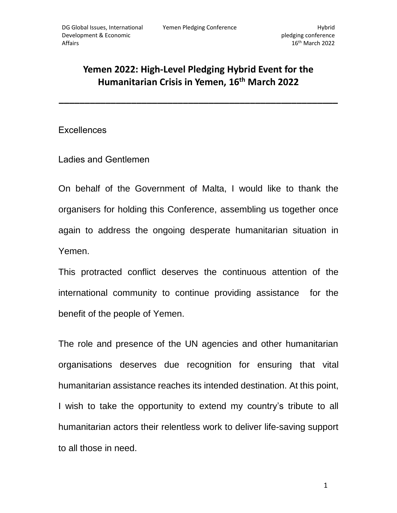## **Yemen 2022: High-Level Pledging Hybrid Event for the Humanitarian Crisis in Yemen, 16th March 2022**

**\_\_\_\_\_\_\_\_\_\_\_\_\_\_\_\_\_\_\_\_\_\_\_\_\_\_\_\_\_\_\_\_\_\_\_\_\_\_\_\_\_\_\_\_\_\_\_\_\_\_\_\_\_\_**

**Excellences** 

Ladies and Gentlemen

On behalf of the Government of Malta, I would like to thank the organisers for holding this Conference, assembling us together once again to address the ongoing desperate humanitarian situation in Yemen.

This protracted conflict deserves the continuous attention of the international community to continue providing assistance for the benefit of the people of Yemen.

The role and presence of the UN agencies and other humanitarian organisations deserves due recognition for ensuring that vital humanitarian assistance reaches its intended destination. At this point, I wish to take the opportunity to extend my country's tribute to all humanitarian actors their relentless work to deliver life-saving support to all those in need.

1